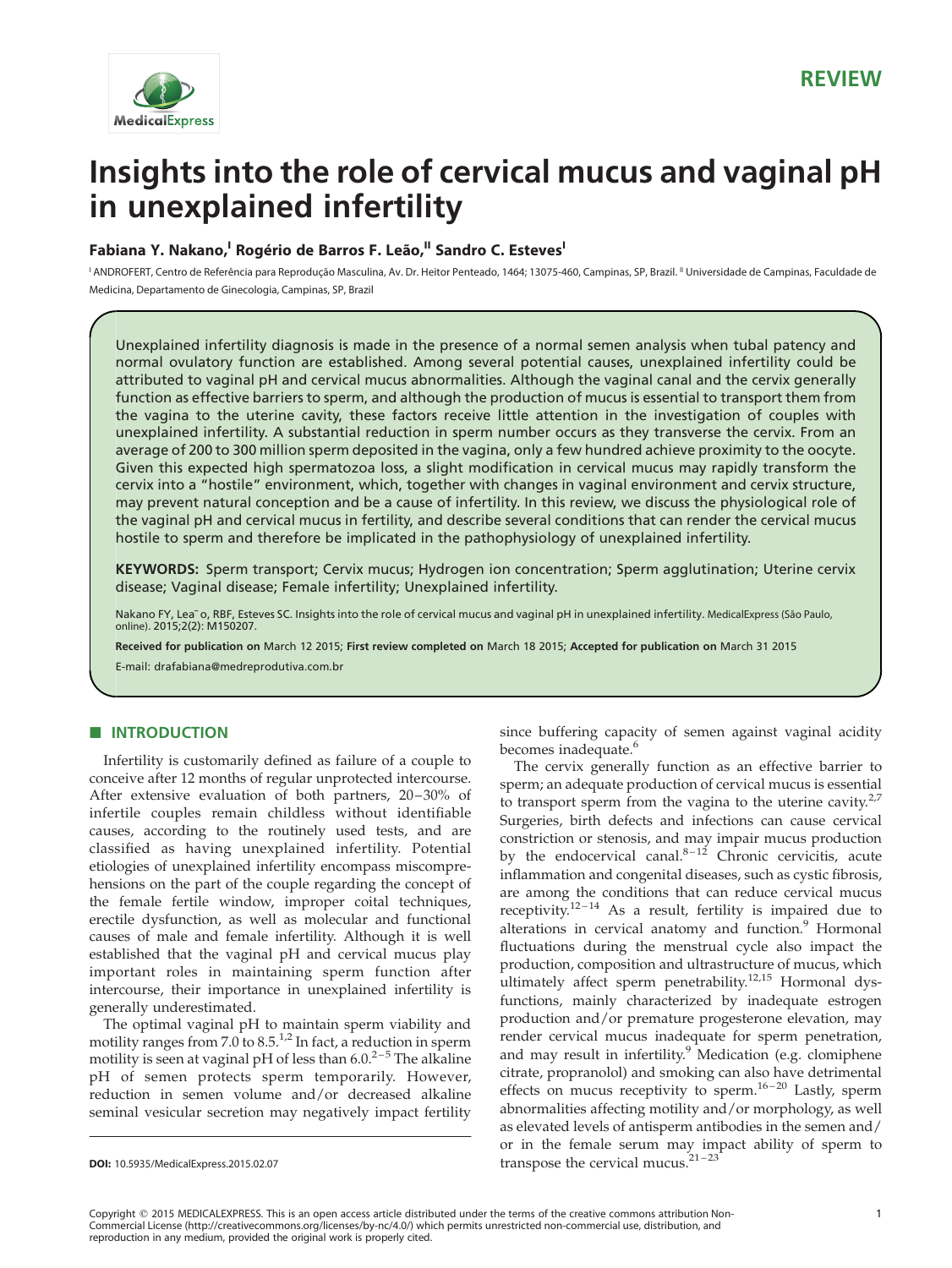

# Insights into the role of cervical mucus and vaginal pH in unexplained infertility

# **Fabiana Y. Nakano,I Rogério de Barros F. Leão,II Sandro C. Esteves<sup>I</sup>**

' ANDROFERT, Centro de Referência para Reprodução Masculina, Av. Dr. Heitor Penteado, 1464; 13075-460, Campinas, SP, Brazil. " Universidade de Campinas, Faculdade de Medicina, Departamento de Ginecologia, Campinas, SP, Brazil

Unexplained infertility diagnosis is made in the presence of a normal semen analysis when tubal patency and normal ovulatory function are established. Among several potential causes, unexplained infertility could be attributed to vaginal pH and cervical mucus abnormalities. Although the vaginal canal and the cervix generally function as effective barriers to sperm, and although the production of mucus is essential to transport them from the vagina to the uterine cavity, these factors receive little attention in the investigation of couples with unexplained infertility. A substantial reduction in sperm number occurs as they transverse the cervix. From an average of 200 to 300 million sperm deposited in the vagina, only a few hundred achieve proximity to the oocyte. Given this expected high spermatozoa loss, a slight modification in cervical mucus may rapidly transform the cervix into a "hostile" environment, which, together with changes in vaginal environment and cervix structure, may prevent natural conception and be a cause of infertility. In this review, we discuss the physiological role of the vaginal pH and cervical mucus in fertility, and describe several conditions that can render the cervical mucus hostile to sperm and therefore be implicated in the pathophysiology of unexplained infertility.

KEYWORDS: Sperm transport; Cervix mucus; Hydrogen ion concentration; Sperm agglutination; Uterine cervix disease; Vaginal disease; Female infertility; Unexplained infertility.

Nakano FY, Lea~ o, RBF, Esteves SC. Insights into the role of cervical mucus and vaginal pH in unexplained infertility. MedicalExpress (São Paulo, online). 2015;2(2): M150207.

Received for publication on March 12 2015; First review completed on March 18 2015; Accepted for publication on March 31 2015

E-mail: drafabiana@medreprodutiva.com.br

# **B** INTRODUCTION

Infertility is customarily defined as failure of a couple to conceive after 12 months of regular unprotected intercourse. After extensive evaluation of both partners, 20-30% of infertile couples remain childless without identifiable causes, according to the routinely used tests, and are classified as having unexplained infertility. Potential etiologies of unexplained infertility encompass miscomprehensions on the part of the couple regarding the concept of the female fertile window, improper coital techniques, erectile dysfunction, as well as molecular and functional causes of male and female infertility. Although it is well established that the vaginal pH and cervical mucus play important roles in maintaining sperm function after intercourse, their importance in unexplained infertility is generally underestimated.

The optimal vaginal pH to maintain sperm viability and motility ranges from 7.0 to  $8.5<sup>1,2</sup>$  $8.5<sup>1,2</sup>$  $8.5<sup>1,2</sup>$  In fact, a reduction in sperm motility is seen at vaginal pH of less than  $6.0.^{2-5}$  The alkaline pH of semen protects sperm temporarily. However, reduction in semen volume and/or decreased alkaline seminal vesicular secretion may negatively impact fertility

since buffering capacity of semen against vaginal acidity becomes inadequate.<sup>[6](#page-5-0)</sup>

The cervix generally function as an effective barrier to sperm; an adequate production of cervical mucus is essential to transport sperm from the vagina to the uterine cavity. $2.7$ Surgeries, birth defects and infections can cause cervical constriction or stenosis, and may impair mucus production by the endocervical canal. $8-12$  Chronic cervicitis, acute inflammation and congenital diseases, such as cystic fibrosis, are among the conditions that can reduce cervical mucus receptivity.<sup>12-14</sup> As a result, fertility is impaired due to alterations in cervical anatomy and function.<sup>[9](#page-6-0)</sup> Hormonal fluctuations during the menstrual cycle also impact the production, composition and ultrastructure of mucus, which ultimately affect sperm penetrability.<sup>[12,15](#page-6-0)</sup> Hormonal dysfunctions, mainly characterized by inadequate estrogen production and/or premature progesterone elevation, may render cervical mucus inadequate for sperm penetration, and may result in infertility.<sup>9</sup> Medication (e.g. clomiphene citrate, propranolol) and smoking can also have detrimental effects on mucus receptivity to sperm.<sup>16-20</sup> Lastly, sperm abnormalities affecting motility and/or morphology, as well as elevated levels of antisperm antibodies in the semen and/ or in the female serum may impact ability of sperm to **DOI:** 10.5935/MedicalExpress.2015.02.07 transpose the cervical mucus.<sup> $21-23$ </sup>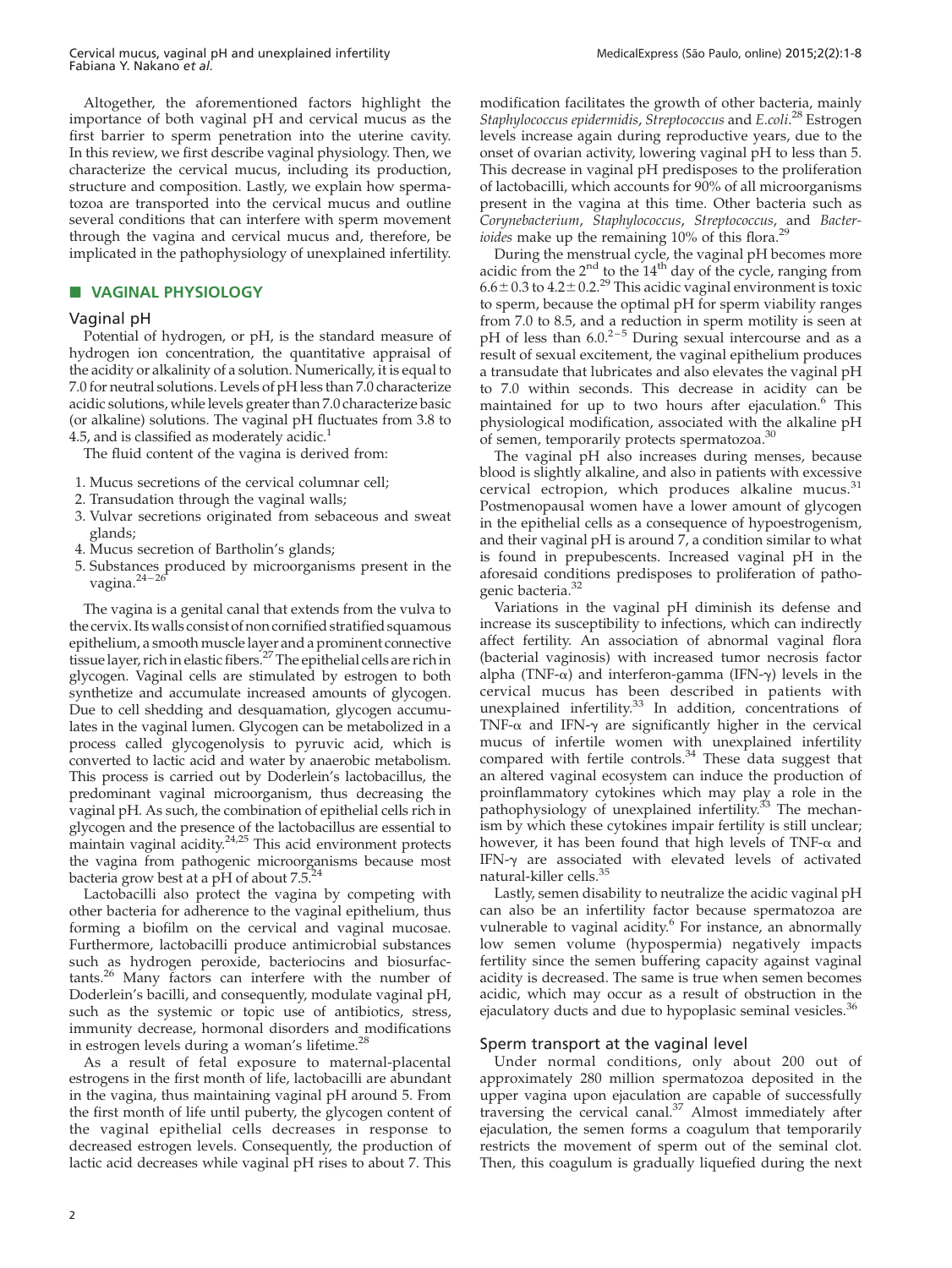Cervical mucus, vaginal pH and unexplained infertility Fabiana Y. Nakano et al.

Altogether, the aforementioned factors highlight the importance of both vaginal pH and cervical mucus as the first barrier to sperm penetration into the uterine cavity. In this review, we first describe vaginal physiology. Then, we characterize the cervical mucus, including its production, structure and composition. Lastly, we explain how spermatozoa are transported into the cervical mucus and outline several conditions that can interfere with sperm movement through the vagina and cervical mucus and, therefore, be implicated in the pathophysiology of unexplained infertility.

## **B** VAGINAL PHYSIOLOGY

## Vaginal pH

Potential of hydrogen, or pH, is the standard measure of hydrogen ion concentration, the quantitative appraisal of the acidity or alkalinity of a solution. Numerically, it is equal to 7.0 for neutral solutions. Levels of pH less than 7.0 characterize acidic solutions, while levels greater than 7.0 characterize basic (or alkaline) solutions. The vaginal pH fluctuates from 3.8 to 4.5, and is classified as moderately acidic. $<sup>1</sup>$ </sup>

The fluid content of the vagina is derived from:

- 1. Mucus secretions of the cervical columnar cell;
- 2. Transudation through the vaginal walls;
- 3. Vulvar secretions originated from sebaceous and sweat glands;
- 4. Mucus secretion of Bartholin's glands;
- 5. Substances produced by microorganisms present in the vagina.<sup>24–26</sup>

The vagina is a genital canal that extends from the vulva to the cervix. Its walls consist of non cornified stratified squamous epithelium, a smooth muscle layer and a prominent connective tissue layer, rich in elastic fibers.<sup>27</sup> The epithelial cells are rich in glycogen. Vaginal cells are stimulated by estrogen to both synthetize and accumulate increased amounts of glycogen. Due to cell shedding and desquamation, glycogen accumulates in the vaginal lumen. Glycogen can be metabolized in a process called glycogenolysis to pyruvic acid, which is converted to lactic acid and water by anaerobic metabolism. This process is carried out by Doderlein's lactobacillus, the predominant vaginal microorganism, thus decreasing the vaginal pH. As such, the combination of epithelial cells rich in glycogen and the presence of the lactobacillus are essential to maintain vaginal  $\arctan 24.25$  This acid environment protects the vagina from pathogenic microorganisms because most bacteria grow best at a pH of about 7.5[.24](#page-6-0)

Lactobacilli also protect the vagina by competing with other bacteria for adherence to the vaginal epithelium, thus forming a biofilm on the cervical and vaginal mucosae. Furthermore, lactobacilli produce antimicrobial substances such as hydrogen peroxide, bacteriocins and biosurfactants.[26](#page-6-0) Many factors can interfere with the number of Doderlein's bacilli, and consequently, modulate vaginal pH, such as the systemic or topic use of antibiotics, stress, immunity decrease, hormonal disorders and modifications in estrogen levels during a woman's lifetime.<sup>[28](#page-6-0)</sup>

As a result of fetal exposure to maternal-placental estrogens in the first month of life, lactobacilli are abundant in the vagina, thus maintaining vaginal pH around 5. From the first month of life until puberty, the glycogen content of the vaginal epithelial cells decreases in response to decreased estrogen levels. Consequently, the production of lactic acid decreases while vaginal pH rises to about 7. This

modification facilitates the growth of other bacteria, mainly Staphylococcus epidermidis, Streptococcus and E.coli.<sup>[28](#page-6-0)</sup> Estrogen levels increase again during reproductive years, due to the onset of ovarian activity, lowering vaginal pH to less than 5. This decrease in vaginal pH predisposes to the proliferation of lactobacilli, which accounts for 90% of all microorganisms present in the vagina at this time. Other bacteria such as Corynebacterium, Staphylococcus, Streptococcus, and Bacterioides make up the remaining  $10\%$  of this flora.<sup>2</sup>

During the menstrual cycle, the vaginal pH becomes more acidic from the  $2<sup>nd</sup>$  to the  $14<sup>th</sup>$  day of the cycle, ranging from  $6.6\pm0.3$  to  $4.2\pm0.2$ .<sup>29</sup> This acidic vaginal environment is toxic to sperm, because the optimal pH for sperm viability ranges from 7.0 to 8.5, and a reduction in sperm motility is seen at pH of less than  $6.0^{2-5}$  During sexual intercourse and as a result of sexual excitement, the vaginal epithelium produces a transudate that lubricates and also elevates the vaginal pH to 7.0 within seconds. This decrease in acidity can be maintained for up to two hours after ejaculation.<sup>[6](#page-5-0)</sup> This physiological modification, associated with the alkaline pH of semen, temporarily protects spermatozoa.<sup>[30](#page-6-0)</sup>

The vaginal pH also increases during menses, because blood is slightly alkaline, and also in patients with excessive cervical ectropion, which produces alkaline mucus.<sup>[31](#page-6-0)</sup> Postmenopausal women have a lower amount of glycogen in the epithelial cells as a consequence of hypoestrogenism, and their vaginal pH is around 7, a condition similar to what is found in prepubescents. Increased vaginal pH in the aforesaid conditions predisposes to proliferation of patho-genic bacteria.<sup>[32](#page-6-0)</sup>

Variations in the vaginal pH diminish its defense and increase its susceptibility to infections, which can indirectly affect fertility. An association of abnormal vaginal flora (bacterial vaginosis) with increased tumor necrosis factor alpha (TNF- $\alpha$ ) and interferon-gamma (IFN- $\gamma$ ) levels in the cervical mucus has been described in patients with unexplained infertility.<sup>[33](#page-6-0)</sup> In addition, concentrations of TNF- $\alpha$  and IFN- $\gamma$  are significantly higher in the cervical mucus of infertile women with unexplained infertility compared with fertile controls.<sup>[34](#page-6-0)</sup> These data suggest that an altered vaginal ecosystem can induce the production of proinflammatory cytokines which may play a role in the pathophysiology of unexplained infertility.<sup>[33](#page-6-0)</sup> The mechanism by which these cytokines impair fertility is still unclear; however, it has been found that high levels of  $TNF-\alpha$  and IFN- $\gamma$  are associated with elevated levels of activated natural-killer cells.[35](#page-6-0)

Lastly, semen disability to neutralize the acidic vaginal pH can also be an infertility factor because spermatozoa are vulnerable to vaginal acidity.<sup>[6](#page-5-0)</sup> For instance, an abnormally low semen volume (hypospermia) negatively impacts fertility since the semen buffering capacity against vaginal acidity is decreased. The same is true when semen becomes acidic, which may occur as a result of obstruction in the ejaculatory ducts and due to hypoplasic seminal vesicles.<sup>[36](#page-6-0)</sup>

## Sperm transport at the vaginal level

Under normal conditions, only about 200 out of approximately 280 million spermatozoa deposited in the upper vagina upon ejaculation are capable of successfully traversing the cervical canal.<sup>[37](#page-6-0)</sup> Almost immediately after ejaculation, the semen forms a coagulum that temporarily restricts the movement of sperm out of the seminal clot. Then, this coagulum is gradually liquefied during the next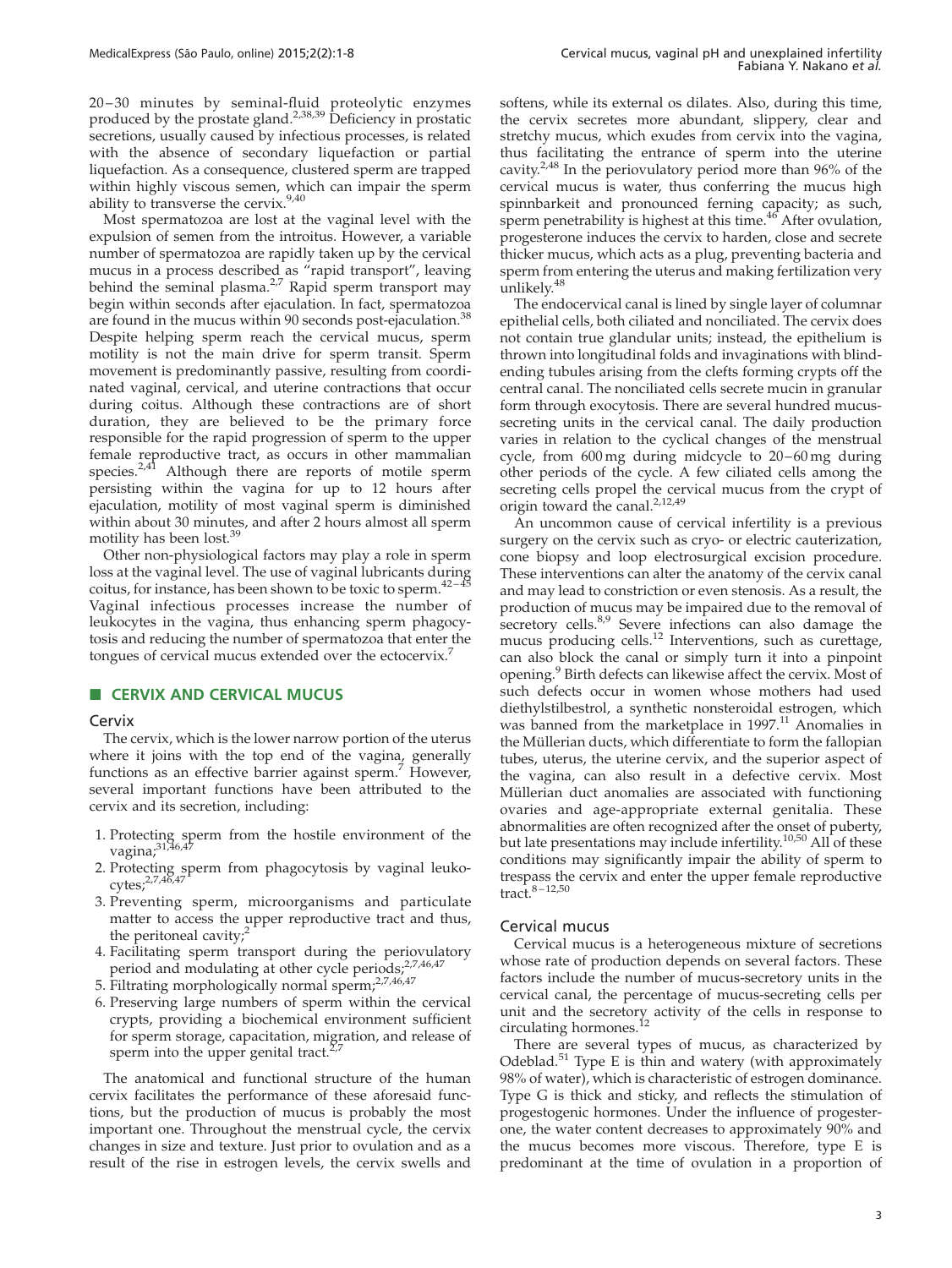20 – 30 minutes by seminal-fluid proteolytic enzymes produced by the prostate gland.<sup>[2,38,39](#page-5-0)</sup> Deficiency in prostatic secretions, usually caused by infectious processes, is related with the absence of secondary liquefaction or partial liquefaction. As a consequence, clustered sperm are trapped within highly viscous semen, which can impair the sperm ability to transverse the cervix.<sup>[9,40](#page-6-0)</sup>

Most spermatozoa are lost at the vaginal level with the expulsion of semen from the introitus. However, a variable number of spermatozoa are rapidly taken up by the cervical mucus in a process described as "rapid transport", leaving behind the seminal plasma.<sup>[2,7](#page-5-0)</sup> Rapid sperm transport may begin within seconds after ejaculation. In fact, spermatozoa are found in the mucus within 90 seconds post-ejaculation.<sup>3</sup> Despite helping sperm reach the cervical mucus, sperm motility is not the main drive for sperm transit. Sperm movement is predominantly passive, resulting from coordinated vaginal, cervical, and uterine contractions that occur during coitus. Although these contractions are of short duration, they are believed to be the primary force responsible for the rapid progression of sperm to the upper female reproductive tract, as occurs in other mammalian species.[2,41](#page-5-0) Although there are reports of motile sperm persisting within the vagina for up to 12 hours after ejaculation, motility of most vaginal sperm is diminished within about 30 minutes, and after 2 hours almost all sperm motility has been lost.[39](#page-6-0)

Other non-physiological factors may play a role in sperm loss at the vaginal level. The use of vaginal lubricants during coitus, for instance, has been shown to be toxic to sperm.  $42-45$ Vaginal infectious processes increase the number of leukocytes in the vagina, thus enhancing sperm phagocytosis and reducing the number of spermatozoa that enter the tongues of cervical mucus extended over the ectocervix.<sup>[7](#page-5-0)</sup>

# **B CERVIX AND CERVICAL MUCUS**

#### **Cervix**

The cervix, which is the lower narrow portion of the uterus where it joins with the top end of the vagina, generally functions as an effective barrier against sperm.<sup>[7](#page-5-0)</sup> However, several important functions have been attributed to the cervix and its secretion, including:

- 1. Protecting sperm from the hostile environment of the vagina;<sup>[31,46,47](#page-6-0)</sup>
- 2. Protecting sperm from phagocytosis by vaginal leukocytes;[2,7,46,47](#page-5-0)
- 3. Preventing sperm, microorganisms and particulate matter to access the upper reproductive tract and thus, the peritoneal cavity; $2$
- 4. Facilitating sperm transport during the periovulatory period and modulating at other cycle periods;<sup>[2,7,46,47](#page-5-0)</sup>
- 5. Filtrating morphologically normal sperm;<sup>[2,7,46,47](#page-5-0)</sup>
- 6. Preserving large numbers of sperm within the cervical crypts, providing a biochemical environment sufficient for sperm storage, capacitation, migration, and release of sperm into the upper genital tract. $2^{2}$

The anatomical and functional structure of the human cervix facilitates the performance of these aforesaid functions, but the production of mucus is probably the most important one. Throughout the menstrual cycle, the cervix changes in size and texture. Just prior to ovulation and as a result of the rise in estrogen levels, the cervix swells and softens, while its external os dilates. Also, during this time, the cervix secretes more abundant, slippery, clear and stretchy mucus, which exudes from cervix into the vagina, thus facilitating the entrance of sperm into the uterine cavity[.2,48](#page-5-0) In the periovulatory period more than 96% of the cervical mucus is water, thus conferring the mucus high spinnbarkeit and pronounced ferning capacity; as such, sperm penetrability is highest at this time.<sup>[46](#page-6-0)</sup> After ovulation, progesterone induces the cervix to harden, close and secrete thicker mucus, which acts as a plug, preventing bacteria and sperm from entering the uterus and making fertilization very unlikely.<sup>[48](#page-6-0)</sup>

The endocervical canal is lined by single layer of columnar epithelial cells, both ciliated and nonciliated. The cervix does not contain true glandular units; instead, the epithelium is thrown into longitudinal folds and invaginations with blindending tubules arising from the clefts forming crypts off the central canal. The nonciliated cells secrete mucin in granular form through exocytosis. There are several hundred mucussecreting units in the cervical canal. The daily production varies in relation to the cyclical changes of the menstrual cycle, from 600 mg during midcycle to 20-60 mg during other periods of the cycle. A few ciliated cells among the secreting cells propel the cervical mucus from the crypt of origin toward the canal.[2,12,49](#page-5-0)

An uncommon cause of cervical infertility is a previous surgery on the cervix such as cryo- or electric cauterization, cone biopsy and loop electrosurgical excision procedure. These interventions can alter the anatomy of the cervix canal and may lead to constriction or even stenosis. As a result, the production of mucus may be impaired due to the removal of secretory cells.<sup>[8,9](#page-6-0)</sup> Severe infections can also damage the mucus producing cells.<sup>[12](#page-6-0)</sup> Interventions, such as curettage, can also block the canal or simply turn it into a pinpoint opening.[9](#page-6-0) Birth defects can likewise affect the cervix. Most of such defects occur in women whose mothers had used diethylstilbestrol, a synthetic nonsteroidal estrogen, which was banned from the marketplace in 1997.<sup>[11](#page-6-0)</sup> Anomalies in the Müllerian ducts, which differentiate to form the fallopian tubes, uterus, the uterine cervix, and the superior aspect of the vagina, can also result in a defective cervix. Most Müllerian duct anomalies are associated with functioning ovaries and age-appropriate external genitalia. These abnormalities are often recognized after the onset of puberty, but late presentations may include infertility.<sup>[10,50](#page-6-0)</sup> All of these conditions may significantly impair the ability of sperm to trespass the cervix and enter the upper female reproductive tract.[8 – 12,50](#page-6-0)

#### Cervical mucus

Cervical mucus is a heterogeneous mixture of secretions whose rate of production depends on several factors. These factors include the number of mucus-secretory units in the cervical canal, the percentage of mucus-secreting cells per unit and the secretory activity of the cells in response to circulating hormones.<sup>1</sup>

There are several types of mucus, as characterized by Odeblad.<sup>[51](#page-6-0)</sup> Type E is thin and watery (with approximately 98% of water), which is characteristic of estrogen dominance. Type G is thick and sticky, and reflects the stimulation of progestogenic hormones. Under the influence of progesterone, the water content decreases to approximately 90% and the mucus becomes more viscous. Therefore, type E is predominant at the time of ovulation in a proportion of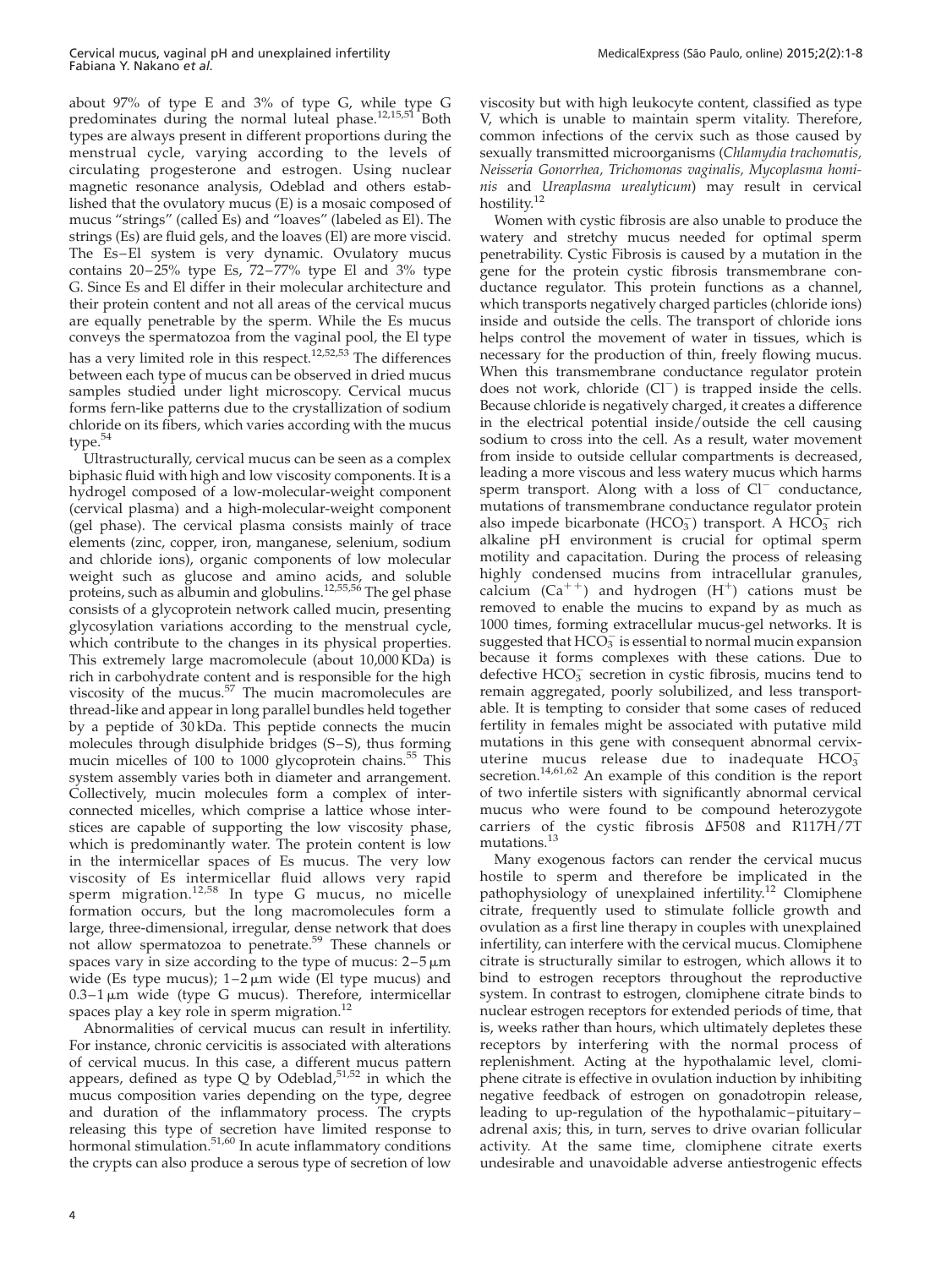about 97% of type E and 3% of type G, while type G predominates during the normal luteal phase.<sup>[12,15,51](#page-6-0)</sup> Both types are always present in different proportions during the menstrual cycle, varying according to the levels of circulating progesterone and estrogen. Using nuclear magnetic resonance analysis, Odeblad and others established that the ovulatory mucus (E) is a mosaic composed of mucus "strings" (called Es) and "loaves" (labeled as El). The strings (Es) are fluid gels, and the loaves (El) are more viscid. The Es–El system is very dynamic. Ovulatory mucus contains  $20-25\%$  type Es,  $72-77\%$  type El and  $3\%$  type G. Since Es and El differ in their molecular architecture and their protein content and not all areas of the cervical mucus are equally penetrable by the sperm. While the Es mucus conveys the spermatozoa from the vaginal pool, the El type has a very limited role in this respect.<sup>[12,52,53](#page-6-0)</sup> The differences between each type of mucus can be observed in dried mucus samples studied under light microscopy. Cervical mucus forms fern-like patterns due to the crystallization of sodium chloride on its fibers, which varies according with the mucus type. $54$ 

Ultrastructurally, cervical mucus can be seen as a complex biphasic fluid with high and low viscosity components. It is a hydrogel composed of a low-molecular-weight component (cervical plasma) and a high-molecular-weight component (gel phase). The cervical plasma consists mainly of trace elements (zinc, copper, iron, manganese, selenium, sodium and chloride ions), organic components of low molecular weight such as glucose and amino acids, and soluble proteins, such as albumin and globulins.<sup>[12,55,56](#page-6-0)</sup> The gel phase consists of a glycoprotein network called mucin, presenting glycosylation variations according to the menstrual cycle, which contribute to the changes in its physical properties. This extremely large macromolecule (about 10,000 KDa) is rich in carbohydrate content and is responsible for the high viscosity of the mucus. $57$  The mucin macromolecules are thread-like and appear in long parallel bundles held together by a peptide of 30 kDa. This peptide connects the mucin molecules through disulphide bridges (S–S), thus forming mucin micelles of 100 to 1000 glycoprotein chains.<sup>55</sup> This system assembly varies both in diameter and arrangement. Collectively, mucin molecules form a complex of interconnected micelles, which comprise a lattice whose interstices are capable of supporting the low viscosity phase, which is predominantly water. The protein content is low in the intermicellar spaces of Es mucus. The very low viscosity of Es intermicellar fluid allows very rapid sperm migration.<sup>[12,58](#page-6-0)</sup> In type G mucus, no micelle formation occurs, but the long macromolecules form a large, three-dimensional, irregular, dense network that does not allow spermatozoa to penetrate.<sup>[59](#page-6-0)</sup> These channels or spaces vary in size according to the type of mucus: 2–5 µm<br>wide (Es type mucus): 1–2 µm wide (El type mucus) and wide (Es type mucus);  $1-2 \mu m$  wide (El type mucus) and  $0.3-1 \,\mu m$  wide (type G mucus). Therefore, intermicellar spaces play a key role in sperm migration.<sup>[12](#page-6-0)</sup>

Abnormalities of cervical mucus can result in infertility. For instance, chronic cervicitis is associated with alterations of cervical mucus. In this case, a different mucus pattern appears, defined as type Q by Odeblad, $51,52$  in which the mucus composition varies depending on the type, degree and duration of the inflammatory process. The crypts releasing this type of secretion have limited response to hormonal stimulation.<sup>[51,60](#page-6-0)</sup> In acute inflammatory conditions the crypts can also produce a serous type of secretion of low

viscosity but with high leukocyte content, classified as type V, which is unable to maintain sperm vitality. Therefore, common infections of the cervix such as those caused by sexually transmitted microorganisms (Chlamydia trachomatis, Neisseria Gonorrhea, Trichomonas vaginalis, Mycoplasma hominis and Ureaplasma urealyticum) may result in cervical hostility.<sup>[12](#page-6-0)</sup>

Women with cystic fibrosis are also unable to produce the watery and stretchy mucus needed for optimal sperm penetrability. Cystic Fibrosis is caused by a mutation in the gene for the protein cystic fibrosis transmembrane conductance regulator. This protein functions as a channel, which transports negatively charged particles (chloride ions) inside and outside the cells. The transport of chloride ions helps control the movement of water in tissues, which is necessary for the production of thin, freely flowing mucus. When this transmembrane conductance regulator protein does not work, chloride  $(Cl^-)$  is trapped inside the cells. Because chloride is negatively charged, it creates a difference in the electrical potential inside/outside the cell causing sodium to cross into the cell. As a result, water movement from inside to outside cellular compartments is decreased, leading a more viscous and less watery mucus which harms sperm transport. Along with a loss of  $Cl^-$  conductance, mutations of transmembrane conductance regulator protein also impede bicarbonate (HCO<sub>3</sub>) transport. A HCO<sub>3</sub> rich alkaline pH environment is crucial for optimal sperm motility and capacitation. During the process of releasing highly condensed mucins from intracellular granules, calcium  $(Ca^{++})$  and hydrogen  $(H^+)$  cations must be removed to enable the mucins to expand by as much as 1000 times, forming extracellular mucus-gel networks. It is suggested that  $\text{HCO}_3^-$  is essential to normal mucin expansion because it forms complexes with these cations. Due to defective HCO<sub>3</sub> secretion in cystic fibrosis, mucins tend to remain aggregated, poorly solubilized, and less transportable. It is tempting to consider that some cases of reduced fertility in females might be associated with putative mild mutations in this gene with consequent abnormal cervixuterine mucus release due to inadequate  $HCO_3^$ secretion.<sup>14,61,62</sup> An example of this condition is the report of two infertile sisters with significantly abnormal cervical mucus who were found to be compound heterozygote carriers of the cystic fibrosis  $\Delta$ F508 and R117H/7T mutations.[13](#page-6-0)

Many exogenous factors can render the cervical mucus hostile to sperm and therefore be implicated in the pathophysiology of unexplained infertility.<sup>[12](#page-6-0)</sup> Clomiphene citrate, frequently used to stimulate follicle growth and ovulation as a first line therapy in couples with unexplained infertility, can interfere with the cervical mucus. Clomiphene citrate is structurally similar to estrogen, which allows it to bind to estrogen receptors throughout the reproductive system. In contrast to estrogen, clomiphene citrate binds to nuclear estrogen receptors for extended periods of time, that is, weeks rather than hours, which ultimately depletes these receptors by interfering with the normal process of replenishment. Acting at the hypothalamic level, clomiphene citrate is effective in ovulation induction by inhibiting negative feedback of estrogen on gonadotropin release, leading to up-regulation of the hypothalamic –pituitary – adrenal axis; this, in turn, serves to drive ovarian follicular activity. At the same time, clomiphene citrate exerts undesirable and unavoidable adverse antiestrogenic effects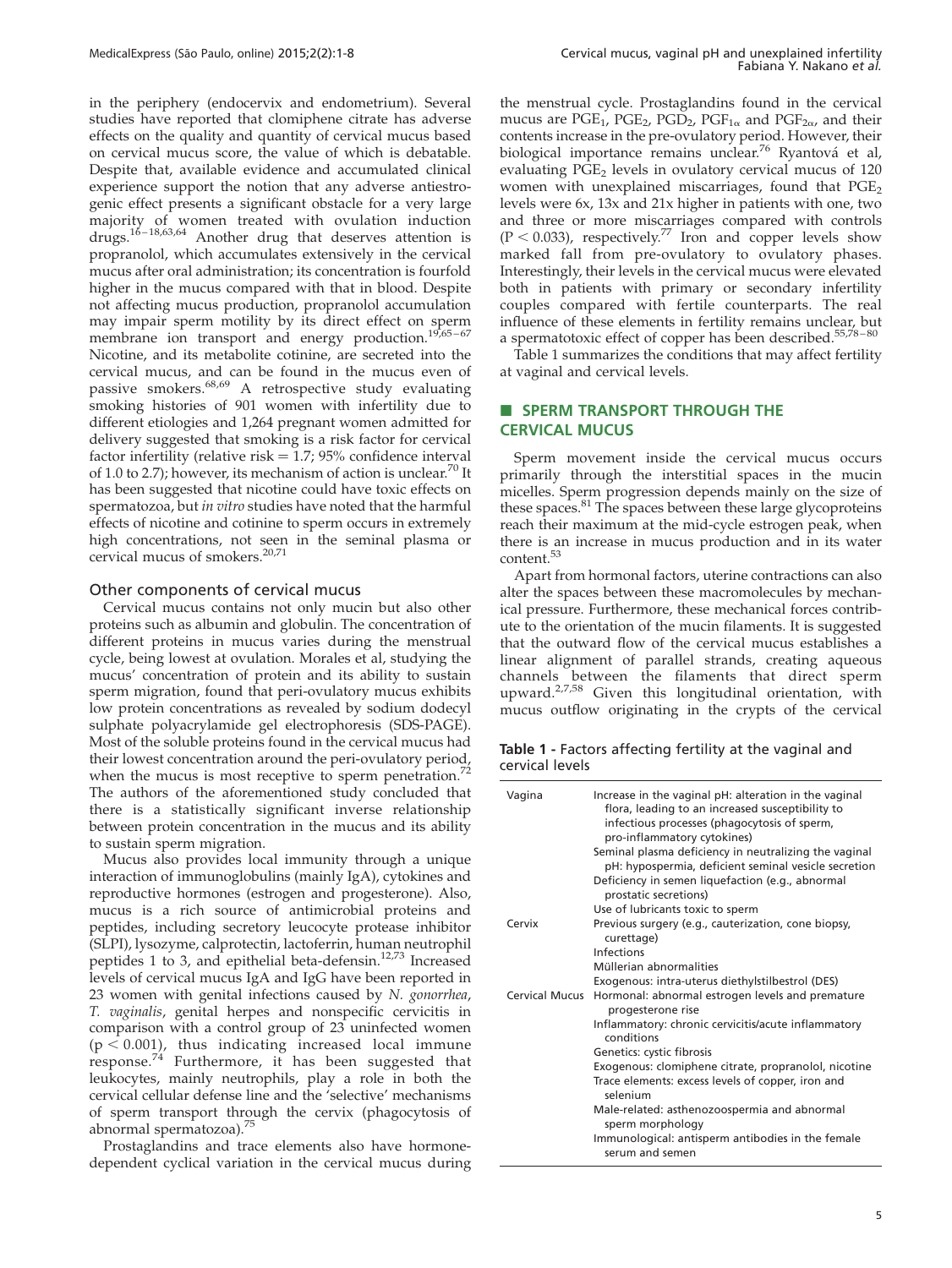in the periphery (endocervix and endometrium). Several studies have reported that clomiphene citrate has adverse effects on the quality and quantity of cervical mucus based on cervical mucus score, the value of which is debatable. Despite that, available evidence and accumulated clinical experience support the notion that any adverse antiestrogenic effect presents a significant obstacle for a very large majority of women treated with ovulation induction drugs.<sup>16–18,63,64</sup> Another drug that deserves attention is propranolol, which accumulates extensively in the cervical mucus after oral administration; its concentration is fourfold higher in the mucus compared with that in blood. Despite not affecting mucus production, propranolol accumulation may impair sperm motility by its direct effect on sperm membrane ion transport and energy production.<sup>19,65-67</sup> Nicotine, and its metabolite cotinine, are secreted into the cervical mucus, and can be found in the mucus even of passive smokers.<sup>[68,69](#page-6-0)</sup> A retrospective study evaluating smoking histories of 901 women with infertility due to different etiologies and 1,264 pregnant women admitted for delivery suggested that smoking is a risk factor for cervical factor infertility (relative risk  $= 1.7$ ; 95% confidence interval of 1.0 to 2.7); however, its mechanism of action is unclear.<sup>[70](#page-7-0)</sup> It has been suggested that nicotine could have toxic effects on spermatozoa, but in vitro studies have noted that the harmful effects of nicotine and cotinine to sperm occurs in extremely high concentrations, not seen in the seminal plasma or cervical mucus of smokers.<sup>[20,71](#page-6-0)</sup>

#### Other components of cervical mucus

Cervical mucus contains not only mucin but also other proteins such as albumin and globulin. The concentration of different proteins in mucus varies during the menstrual cycle, being lowest at ovulation. Morales et al, studying the mucus' concentration of protein and its ability to sustain sperm migration, found that peri-ovulatory mucus exhibits low protein concentrations as revealed by sodium dodecyl sulphate polyacrylamide gel electrophoresis (SDS-PAGE). Most of the soluble proteins found in the cervical mucus had their lowest concentration around the peri-ovulatory period, when the mucus is most receptive to sperm penetration.<sup>[72](#page-7-0)</sup> The authors of the aforementioned study concluded that there is a statistically significant inverse relationship between protein concentration in the mucus and its ability to sustain sperm migration.

Mucus also provides local immunity through a unique interaction of immunoglobulins (mainly IgA), cytokines and reproductive hormones (estrogen and progesterone). Also, mucus is a rich source of antimicrobial proteins and peptides, including secretory leucocyte protease inhibitor (SLPI), lysozyme, calprotectin, lactoferrin, human neutrophil peptides 1 to 3, and epithelial beta-defensin.[12,73](#page-6-0) Increased levels of cervical mucus IgA and IgG have been reported in 23 women with genital infections caused by N. gonorrhea, T. vaginalis, genital herpes and nonspecific cervicitis in comparison with a control group of 23 uninfected women  $(p < 0.001)$ , thus indicating increased local immune response. $^{74}$  $^{74}$  $^{74}$  Furthermore, it has been suggested that leukocytes, mainly neutrophils, play a role in both the cervical cellular defense line and the 'selective' mechanisms of sperm transport through the cervix (phagocytosis of abnormal spermatozoa).[75](#page-7-0)

Prostaglandins and trace elements also have hormonedependent cyclical variation in the cervical mucus during the menstrual cycle. Prostaglandins found in the cervical mucus are PGE<sub>1</sub>, PGE<sub>2</sub>, PGD<sub>2</sub>, PGF<sub>1 $\alpha$ </sub> and PGF<sub>2 $\alpha$ </sub>, and their contents increase in the pre-ovulatory period. However, their biological importance remains unclear.<sup>[76](#page-7-0)</sup> Ryantová et al, evaluating PGE<sub>2</sub> levels in ovulatory cervical mucus of 120 women with unexplained miscarriages, found that  $PGE_2$ levels were 6x, 13x and 21x higher in patients with one, two and three or more miscarriages compared with controls  $(P < 0.033)$ , respectively.<sup>[77](#page-7-0)</sup> Iron and copper levels show marked fall from pre-ovulatory to ovulatory phases. Interestingly, their levels in the cervical mucus were elevated both in patients with primary or secondary infertility couples compared with fertile counterparts. The real influence of these elements in fertility remains unclear, but a spermatotoxic effect of copper has been described.<sup>55,78-80</sup>

Table 1 summarizes the conditions that may affect fertility at vaginal and cervical levels.

# **B SPERM TRANSPORT THROUGH THE** CERVICAL MUCUS

Sperm movement inside the cervical mucus occurs primarily through the interstitial spaces in the mucin micelles. Sperm progression depends mainly on the size of these spaces.<sup>[81](#page-7-0)</sup> The spaces between these large glycoproteins reach their maximum at the mid-cycle estrogen peak, when there is an increase in mucus production and in its water content.<sup>5</sup>

Apart from hormonal factors, uterine contractions can also alter the spaces between these macromolecules by mechanical pressure. Furthermore, these mechanical forces contribute to the orientation of the mucin filaments. It is suggested that the outward flow of the cervical mucus establishes a linear alignment of parallel strands, creating aqueous channels between the filaments that direct sperm upward. $27,58$  Given this longitudinal orientation, with mucus outflow originating in the crypts of the cervical

Table 1 - Factors affecting fertility at the vaginal and cervical levels

| Vagina         | Increase in the vaginal pH: alteration in the vaginal<br>flora, leading to an increased susceptibility to<br>infectious processes (phagocytosis of sperm,<br>pro-inflammatory cytokines) |
|----------------|------------------------------------------------------------------------------------------------------------------------------------------------------------------------------------------|
|                | Seminal plasma deficiency in neutralizing the vaginal                                                                                                                                    |
|                | pH: hypospermia, deficient seminal vesicle secretion                                                                                                                                     |
|                | Deficiency in semen liquefaction (e.g., abnormal<br>prostatic secretions)                                                                                                                |
|                | Use of lubricants toxic to sperm                                                                                                                                                         |
| Cervix         | Previous surgery (e.g., cauterization, cone biopsy,<br>curettage)                                                                                                                        |
|                | Infections                                                                                                                                                                               |
|                | Müllerian abnormalities                                                                                                                                                                  |
|                | Exogenous: intra-uterus diethylstilbestrol (DES)                                                                                                                                         |
| Cervical Mucus | Hormonal: abnormal estrogen levels and premature<br>progesterone rise                                                                                                                    |
|                | Inflammatory: chronic cervicitis/acute inflammatory<br>conditions                                                                                                                        |
|                | Genetics: cystic fibrosis                                                                                                                                                                |
|                | Exogenous: clomiphene citrate, propranolol, nicotine                                                                                                                                     |
|                | Trace elements: excess levels of copper, iron and<br>selenium                                                                                                                            |
|                | Male-related: asthenozoospermia and abnormal<br>sperm morphology                                                                                                                         |
|                | Immunological: antisperm antibodies in the female<br>serum and semen                                                                                                                     |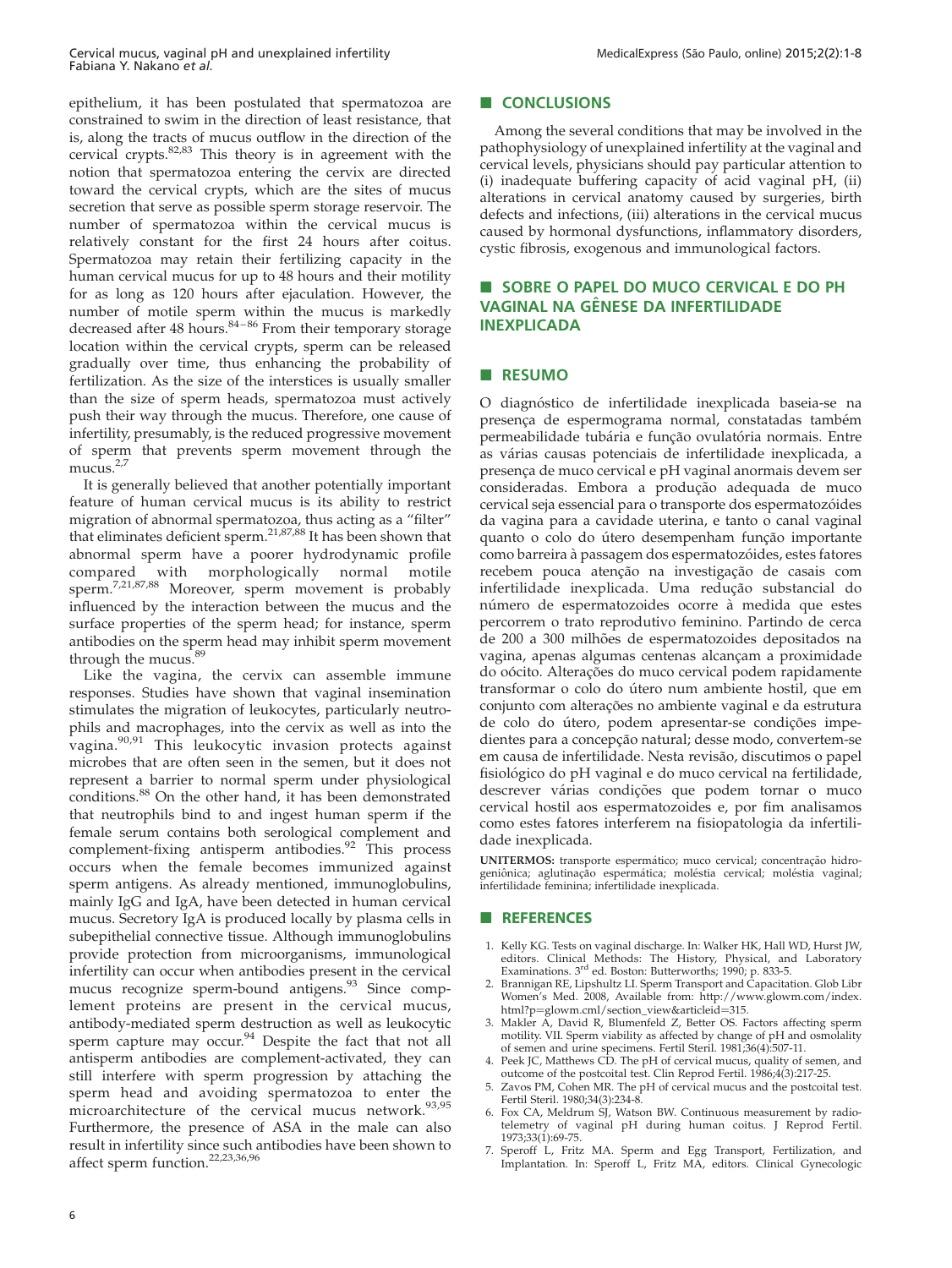<span id="page-5-0"></span>epithelium, it has been postulated that spermatozoa are constrained to swim in the direction of least resistance, that is, along the tracts of mucus outflow in the direction of the cervical crypts.<sup>[82,83](#page-7-0)</sup> This theory is in agreement with the notion that spermatozoa entering the cervix are directed toward the cervical crypts, which are the sites of mucus secretion that serve as possible sperm storage reservoir. The number of spermatozoa within the cervical mucus is relatively constant for the first 24 hours after coitus. Spermatozoa may retain their fertilizing capacity in the human cervical mucus for up to 48 hours and their motility for as long as 120 hours after ejaculation. However, the number of motile sperm within the mucus is markedly decreased after 48 hours.<sup>84-86</sup> From their temporary storage location within the cervical crypts, sperm can be released gradually over time, thus enhancing the probability of fertilization. As the size of the interstices is usually smaller than the size of sperm heads, spermatozoa must actively push their way through the mucus. Therefore, one cause of infertility, presumably, is the reduced progressive movement of sperm that prevents sperm movement through the mucus. $2,7$ 

It is generally believed that another potentially important feature of human cervical mucus is its ability to restrict migration of abnormal spermatozoa, thus acting as a "filter" that eliminates deficient sperm.<sup>[21,87,88](#page-6-0)</sup> It has been shown that abnormal sperm have a poorer hydrodynamic profile compared with morphologically normal motile sperm.<sup>7,21,87,88</sup> Moreover, sperm movement is probably influenced by the interaction between the mucus and the surface properties of the sperm head; for instance, sperm antibodies on the sperm head may inhibit sperm movement through the mucus.<sup>[89](#page-7-0)</sup>

Like the vagina, the cervix can assemble immune responses. Studies have shown that vaginal insemination stimulates the migration of leukocytes, particularly neutrophils and macrophages, into the cervix as well as into the vagina.<sup>[90,91](#page-7-0)</sup> This leukocytic invasion protects against microbes that are often seen in the semen, but it does not represent a barrier to normal sperm under physiological conditions.[88](#page-7-0) On the other hand, it has been demonstrated that neutrophils bind to and ingest human sperm if the female serum contains both serological complement and complement-fixing antisperm antibodies.<sup>[92](#page-7-0)</sup> This process occurs when the female becomes immunized against sperm antigens. As already mentioned, immunoglobulins, mainly IgG and IgA, have been detected in human cervical mucus. Secretory IgA is produced locally by plasma cells in subepithelial connective tissue. Although immunoglobulins provide protection from microorganisms, immunological infertility can occur when antibodies present in the cervical mucus recognize sperm-bound antigens.<sup>[93](#page-7-0)</sup> Since complement proteins are present in the cervical mucus, antibody-mediated sperm destruction as well as leukocytic sperm capture may occur.<sup>[94](#page-7-0)</sup> Despite the fact that not all antisperm antibodies are complement-activated, they can still interfere with sperm progression by attaching the sperm head and avoiding spermatozoa to enter the microarchitecture of the cervical mucus network.<sup>[93,95](#page-7-0)</sup> Furthermore, the presence of ASA in the male can also result in infertility since such antibodies have been shown to affect sperm function.[22,23,36,96](#page-6-0)

## CONCLUSIONS

Among the several conditions that may be involved in the pathophysiology of unexplained infertility at the vaginal and cervical levels, physicians should pay particular attention to (i) inadequate buffering capacity of acid vaginal pH, (ii) alterations in cervical anatomy caused by surgeries, birth defects and infections, (iii) alterations in the cervical mucus caused by hormonal dysfunctions, inflammatory disorders, cystic fibrosis, exogenous and immunological factors.

# **B** SOBRE O PAPEL DO MUCO CERVICAL E DO PH VAGINAL NA GÊNESE DA INFERTILIDADE INEXPLICADA

## **B** RESUMO

O diagnóstico de infertilidade inexplicada baseia-se na presença de espermograma normal, constatadas também permeabilidade tubária e função ovulatória normais. Entre as várias causas potenciais de infertilidade inexplicada, a presenca de muco cervical e pH vaginal anormais devem ser consideradas. Embora a produção adequada de muco cervical seja essencial para o transporte dos espermatozóides da vagina para a cavidade uterina, e tanto o canal vaginal quanto o colo do útero desempenham função importante como barreira à passagem dos espermatozóides, estes fatores recebem pouca atenção na investigação de casais com infertilidade inexplicada. Uma redução substancial do número de espermatozoides ocorre à medida que estes percorrem o trato reprodutivo feminino. Partindo de cerca de 200 a 300 milhões de espermatozoides depositados na vagina, apenas algumas centenas alcancam a proximidade do oócito. Alterações do muco cervical podem rapidamente transformar o colo do útero num ambiente hostil, que em conjunto com alterações no ambiente vaginal e da estrutura de colo do útero, podem apresentar-se condições impedientes para a concepção natural; desse modo, convertem-se em causa de infertilidade. Nesta revisão, discutimos o papel fisiológico do pH vaginal e do muco cervical na fertilidade, descrever várias condições que podem tornar o muco cervical hostil aos espermatozoides e, por fim analisamos como estes fatores interferem na fisiopatologia da infertilidade inexplicada.

UNITERMOS: transporte espermático; muco cervical; concentração hidrogeniônica; aglutinação espermática; moléstia cervical; moléstia vaginal; infertilidade feminina; infertilidade inexplicada.

#### **B** REFERENCES

- 1. Kelly KG. Tests on vaginal discharge. In: Walker HK, Hall WD, Hurst JW, editors. Clinical Methods: The History, Physical, and Laboratory<br>Examinations. 3<sup>rd</sup> ed. Boston: Butterworths; 1990; p. 833-5.
- 2. Brannigan RE, Lipshultz LI. Sperm Transport and Capacitation. Glob Libr Women's Med. 2008, Available from: [http://www.glowm.com/index.](http://www.glowm.com/index.html?p=glowm.cml/section_view&articleid=315)
- html?p=[glowm.cml/section\\_view&articleid](http://www.glowm.com/index.html?p=glowm.cml/section_view&articleid=315)=315.<br>3. Makler A, David R, Blumenfeld Z, Better OS. Factors affecting sperm motility. VII. Sperm viability as affected by change of pH and osmolality
- of semen and urine specimens. Fertil Steril. 1981;36(4):507-11. 4. Peek JC, Matthews CD. The pH of cervical mucus, quality of semen, and outcome of the postcoital test. Clin Reprod Fertil. 1986;4(3):217-25.
- 5. Zavos PM, Cohen MR. The pH of cervical mucus and the postcoital test. Fertil Steril. 1980;34(3):234-8.
- 6. Fox CA, Meldrum SJ, Watson BW. Continuous measurement by radiotelemetry of vaginal pH during human coitus. J Reprod Fertil. 1973;33(1):69-75.
- 7. Speroff L, Fritz MA. Sperm and Egg Transport, Fertilization, and Implantation. In: Speroff L, Fritz MA, editors. Clinical Gynecologic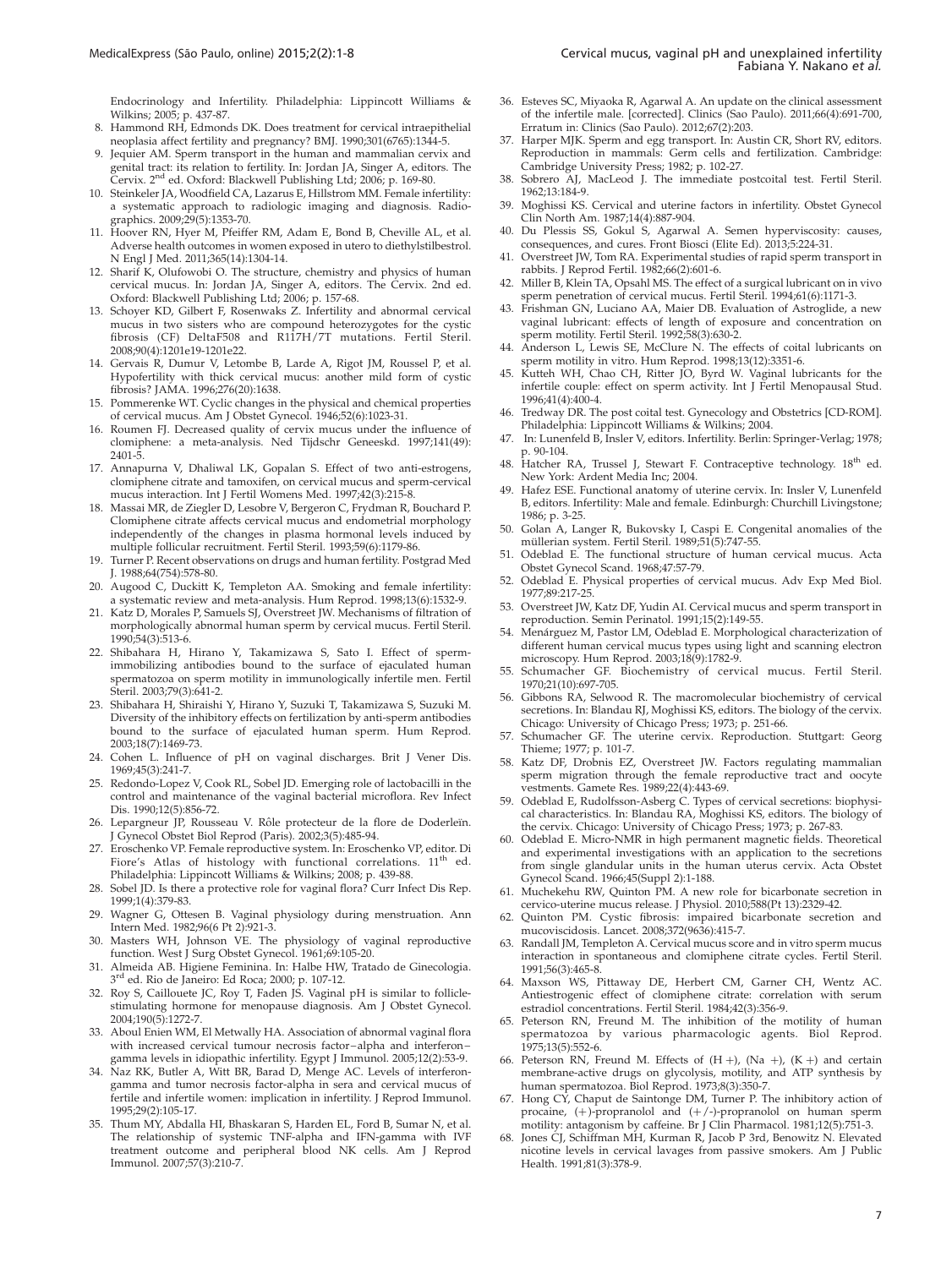<span id="page-6-0"></span>Endocrinology and Infertility. Philadelphia: Lippincott Williams & Wilkins; 2005; p. 437-87.

- 8. Hammond RH, Edmonds DK. Does treatment for cervical intraepithelial neoplasia affect fertility and pregnancy? BMJ. 1990;301(6765):1344-5.
- 9. Jequier AM. Sperm transport in the human and mammalian cervix and genital tract: its relation to fertility. In: Jordan JA, Singer A, editors. The<br>Cervix. 2<sup>nd</sup> ed. Oxford: Blackwell Publishing Ltd; 2006; p. 169-80.
- 10. Steinkeler JA, Woodfield CA, Lazarus E, Hillstrom MM. Female infertility: a systematic approach to radiologic imaging and diagnosis. Radiographics. 2009;29(5):1353-70.
- 11. Hoover RN, Hyer M, Pfeiffer RM, Adam E, Bond B, Cheville AL, et al. Adverse health outcomes in women exposed in utero to diethylstilbestrol. N Engl J Med. 2011;365(14):1304-14.
- 12. Sharif K, Olufowobi O. The structure, chemistry and physics of human cervical mucus. In: Jordan JA, Singer A, editors. The Cervix. 2nd ed. Oxford: Blackwell Publishing Ltd; 2006; p. 157-68.
- 13. Schoyer KD, Gilbert F, Rosenwaks Z. Infertility and abnormal cervical mucus in two sisters who are compound heterozygotes for the cystic fibrosis (CF) DeltaF508 and R117H/7T mutations. Fertil Steril. 2008;90(4):1201e19-1201e22.
- 14. Gervais R, Dumur V, Letombe B, Larde A, Rigot JM, Roussel P, et al. Hypofertility with thick cervical mucus: another mild form of cystic fibrosis? JAMA. 1996;276(20):1638.
- 15. Pommerenke WT. Cyclic changes in the physical and chemical properties of cervical mucus. Am J Obstet Gynecol. 1946;52(6):1023-31.
- 16. Roumen FJ. Decreased quality of cervix mucus under the influence of clomiphene: a meta-analysis. Ned Tijdschr Geneeskd. 1997;141(49): 2401-5.
- 17. Annapurna V, Dhaliwal LK, Gopalan S. Effect of two anti-estrogens, clomiphene citrate and tamoxifen, on cervical mucus and sperm-cervical mucus interaction. Int J Fertil Womens Med. 1997;42(3):215-8.
- 18. Massai MR, de Ziegler D, Lesobre V, Bergeron C, Frydman R, Bouchard P. Clomiphene citrate affects cervical mucus and endometrial morphology independently of the changes in plasma hormonal levels induced by multiple follicular recruitment. Fertil Steril. 1993;59(6):1179-86.
- 19. Turner P. Recent observations on drugs and human fertility. Postgrad Med J. 1988;64(754):578-80.
- 20. Augood C, Duckitt K, Templeton AA. Smoking and female infertility: a systematic review and meta-analysis. Hum Reprod. 1998;13(6):1532-9.
- 21. Katz D, Morales P, Samuels SJ, Overstreet JW. Mechanisms of filtration of morphologically abnormal human sperm by cervical mucus. Fertil Steril. 1990;54(3):513-6.
- 22. Shibahara H, Hirano Y, Takamizawa S, Sato I. Effect of spermimmobilizing antibodies bound to the surface of ejaculated human spermatozoa on sperm motility in immunologically infertile men. Fertil Steril. 2003;79(3):641-2.
- 23. Shibahara H, Shiraishi Y, Hirano Y, Suzuki T, Takamizawa S, Suzuki M. Diversity of the inhibitory effects on fertilization by anti-sperm antibodies bound to the surface of ejaculated human sperm. Hum Reprod. 2003;18(7):1469-73.
- 24. Cohen L. Influence of pH on vaginal discharges. Brit J Vener Dis. 1969;45(3):241-7.
- 25. Redondo-Lopez V, Cook RL, Sobel JD. Emerging role of lactobacilli in the control and maintenance of the vaginal bacterial microflora. Rev Infect Dis. 1990;12(5):856-72.
- 26. Lepargneur JP, Rousseau V. Rôle protecteur de la flore de Doderleïn. J Gynecol Obstet Biol Reprod (Paris). 2002;3(5):485-94.
- 27. Eroschenko VP. Female reproductive system. In: Eroschenko VP, editor. Di Fiore's Atlas of histology with functional correlations. 11<sup>th</sup> ed. Philadelphia: Lippincott Williams & Wilkins; 2008; p. 439-88.
- 28. Sobel JD. Is there a protective role for vaginal flora? Curr Infect Dis Rep. 1999;1(4):379-83.
- 29. Wagner G, Ottesen B. Vaginal physiology during menstruation. Ann Intern Med. 1982;96(6 Pt 2):921-3.
- 30. Masters WH, Johnson VE. The physiology of vaginal reproductive function. West J Surg Obstet Gynecol. 1961;69:105-20.
- 31. Almeida AB. Higiene Feminina. In: Halbe HW, Tratado de Ginecologia. 3<sup>rd</sup> ed. Rio de Janeiro: Ed Roca; 2000; p. 107-12.
- 32. Roy S, Caillouete JC, Roy T, Faden JS. Vaginal pH is similar to folliclestimulating hormone for menopause diagnosis. Am J Obstet Gynecol. 2004;190(5):1272-7.
- 33. Aboul Enien WM, El Metwally HA. Association of abnormal vaginal flora with increased cervical tumour necrosis factor – alpha and interferon – gamma levels in idiopathic infertility. Egypt J Immunol. 2005;12(2):53-9.
- 34. Naz RK, Butler A, Witt BR, Barad D, Menge AC. Levels of interferongamma and tumor necrosis factor-alpha in sera and cervical mucus of fertile and infertile women: implication in infertility. J Reprod Immunol. 1995;29(2):105-17.
- Thum MY, Abdalla HI, Bhaskaran S, Harden EL, Ford B, Sumar N, et al. The relationship of systemic TNF-alpha and IFN-gamma with IVF treatment outcome and peripheral blood NK cells. Am J Reprod Immunol. 2007;57(3):210-7.
- 36. Esteves SC, Miyaoka R, Agarwal A. An update on the clinical assessment of the infertile male. [corrected]. Clinics (Sao Paulo). 2011;66(4):691-700, Erratum in: Clinics (Sao Paulo). 2012;67(2):203.
- 37. Harper MJK. Sperm and egg transport. In: Austin CR, Short RV, editors. Reproduction in mammals: Germ cells and fertilization. Cambridge: Cambridge University Press; 1982; p. 102-27.
- 38. Sobrero AJ, MacLeod J. The immediate postcoital test. Fertil Steril. 1962;13:184-9.
- 39. Moghissi KS. Cervical and uterine factors in infertility. Obstet Gynecol Clin North Am. 1987;14(4):887-904.
- Du Plessis SS, Gokul S, Agarwal A. Semen hyperviscosity: causes, consequences, and cures. Front Biosci (Elite Ed). 2013;5:224-31.
- 41. Overstreet JW, Tom RA. Experimental studies of rapid sperm transport in rabbits. J Reprod Fertil. 1982;66(2):601-6.
- Miller B, Klein TA, Opsahl MS. The effect of a surgical lubricant on in vivo sperm penetration of cervical mucus. Fertil Steril. 1994;61(6):1171-3.
- Frishman GN, Luciano AA, Maier DB. Evaluation of Astroglide, a new vaginal lubricant: effects of length of exposure and concentration on sperm motility. Fertil Steril. 1992;58(3):630-2.
- 44. Anderson L, Lewis SE, McClure N. The effects of coital lubricants on sperm motility in vitro. Hum Reprod. 1998;13(12):3351-6.
- 45. Kutteh WH, Chao CH, Ritter JO, Byrd W. Vaginal lubricants for the infertile couple: effect on sperm activity. Int J Fertil Menopausal Stud. 1996;41(4):400-4.
- 46. Tredway DR. The post coital test. Gynecology and Obstetrics [CD-ROM]. Philadelphia: Lippincott Williams & Wilkins; 2004.
- 47. In: Lunenfeld B, Insler V, editors. Infertility. Berlin: Springer-Verlag; 1978; p. 90-104.
- Hatcher RA, Trussel J, Stewart F. Contraceptive technology. 18<sup>th</sup> ed. New York: Ardent Media Inc; 2004.
- 49. Hafez ESE. Functional anatomy of uterine cervix. In: Insler V, Lunenfeld B, editors. Infertility: Male and female. Edinburgh: Churchill Livingstone; 1986; p. 3-25.
- 50. Golan A, Langer R, Bukovsky I, Caspi E. Congenital anomalies of the müllerian system. Fertil Steril. 1989;51(5):747-55.
- 51. Odeblad E. The functional structure of human cervical mucus. Acta Obstet Gynecol Scand. 1968;47:57-79.
- 52. Odeblad E. Physical properties of cervical mucus. Adv Exp Med Biol. 1977;89:217-25.
- 53. Overstreet JW, Katz DF, Yudin AI. Cervical mucus and sperm transport in reproduction. Semin Perinatol. 1991;15(2):149-55.
- Menárguez M, Pastor LM, Odeblad E. Morphological characterization of different human cervical mucus types using light and scanning electron microscopy. Hum Reprod. 2003;18(9):1782-9.
- 55. Schumacher GF. Biochemistry of cervical mucus. Fertil Steril. 1970;21(10):697-705.
- 56. Gibbons RA, Selwood R. The macromolecular biochemistry of cervical secretions. In: Blandau RJ, Moghissi KS, editors. The biology of the cervix. Chicago: University of Chicago Press; 1973; p. 251-66.
- 57. Schumacher GF. The uterine cervix. Reproduction. Stuttgart: Georg Thieme; 1977; p. 101-7.
- 58. Katz DF, Drobnis EZ, Overstreet JW. Factors regulating mammalian sperm migration through the female reproductive tract and oocyte vestments. Gamete Res. 1989;22(4):443-69.
- 59. Odeblad E, Rudolfsson-Asberg C. Types of cervical secretions: biophysical characteristics. In: Blandau RA, Moghissi KS, editors. The biology of the cervix. Chicago: University of Chicago Press; 1973; p. 267-83.
- 60. Odeblad E. Micro-NMR in high permanent magnetic fields. Theoretical and experimental investigations with an application to the secretions from single glandular units in the human uterus cervix. Acta Obstet Gynecol Scand. 1966;45(Suppl 2):1-188.
- Muchekehu RW, Quinton PM. A new role for bicarbonate secretion in cervico-uterine mucus release. J Physiol. 2010;588(Pt 13):2329-42.
- 62. Quinton PM. Cystic fibrosis: impaired bicarbonate secretion and mucoviscidosis. Lancet. 2008;372(9636):415-7.
- 63. Randall JM, Templeton A. Cervical mucus score and in vitro sperm mucus interaction in spontaneous and clomiphene citrate cycles. Fertil Steril. 1991;56(3):465-8.
- 64. Maxson WS, Pittaway DE, Herbert CM, Garner CH, Wentz AC. Antiestrogenic effect of clomiphene citrate: correlation with serum estradiol concentrations. Fertil Steril. 1984;42(3):356-9.
- Peterson RN, Freund M. The inhibition of the motility of human spermatozoa by various pharmacologic agents. Biol Reprod. 1975;13(5):552-6.
- 66. Peterson RN, Freund M. Effects of  $(H +)$ ,  $(Na +)$ ,  $(K +)$  and certain membrane-active drugs on glycolysis, motility, and ATP synthesis by human spermatozoa. Biol Reprod. 1973;8(3):350-7.
- Hong CY, Chaput de Saintonge DM, Turner P. The inhibitory action of procaine,  $(+)$ -propranolol and  $(+/-)$ -propranolol on human sperm motility: antagonism by caffeine. Br J Clin Pharmacol. 1981;12(5):751-3.
- 68. Jones CJ, Schiffman MH, Kurman R, Jacob P 3rd, Benowitz N. Elevated nicotine levels in cervical lavages from passive smokers. Am J Public Health. 1991;81(3):378-9.